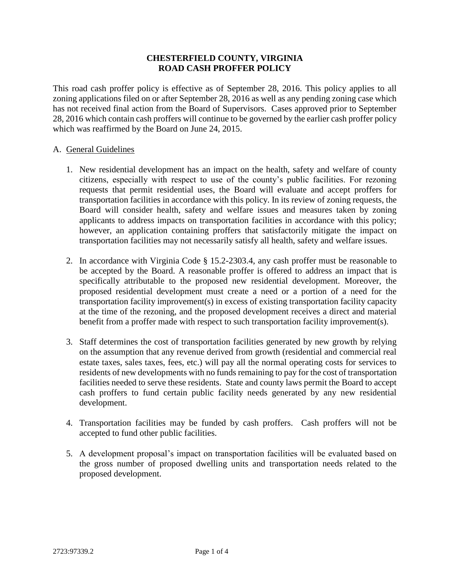## **CHESTERFIELD COUNTY, VIRGINIA ROAD CASH PROFFER POLICY**

This road cash proffer policy is effective as of September 28, 2016. This policy applies to all zoning applications filed on or after September 28, 2016 as well as any pending zoning case which has not received final action from the Board of Supervisors. Cases approved prior to September 28, 2016 which contain cash proffers will continue to be governed by the earlier cash proffer policy which was reaffirmed by the Board on June 24, 2015.

## A. General Guidelines

- 1. New residential development has an impact on the health, safety and welfare of county citizens, especially with respect to use of the county's public facilities. For rezoning requests that permit residential uses, the Board will evaluate and accept proffers for transportation facilities in accordance with this policy. In its review of zoning requests, the Board will consider health, safety and welfare issues and measures taken by zoning applicants to address impacts on transportation facilities in accordance with this policy; however, an application containing proffers that satisfactorily mitigate the impact on transportation facilities may not necessarily satisfy all health, safety and welfare issues.
- 2. In accordance with Virginia Code § 15.2-2303.4, any cash proffer must be reasonable to be accepted by the Board. A reasonable proffer is offered to address an impact that is specifically attributable to the proposed new residential development. Moreover, the proposed residential development must create a need or a portion of a need for the transportation facility improvement(s) in excess of existing transportation facility capacity at the time of the rezoning, and the proposed development receives a direct and material benefit from a proffer made with respect to such transportation facility improvement(s).
- 3. Staff determines the cost of transportation facilities generated by new growth by relying on the assumption that any revenue derived from growth (residential and commercial real estate taxes, sales taxes, fees, etc.) will pay all the normal operating costs for services to residents of new developments with no funds remaining to pay for the cost of transportation facilities needed to serve these residents. State and county laws permit the Board to accept cash proffers to fund certain public facility needs generated by any new residential development.
- 4. Transportation facilities may be funded by cash proffers. Cash proffers will not be accepted to fund other public facilities.
- 5. A development proposal's impact on transportation facilities will be evaluated based on the gross number of proposed dwelling units and transportation needs related to the proposed development.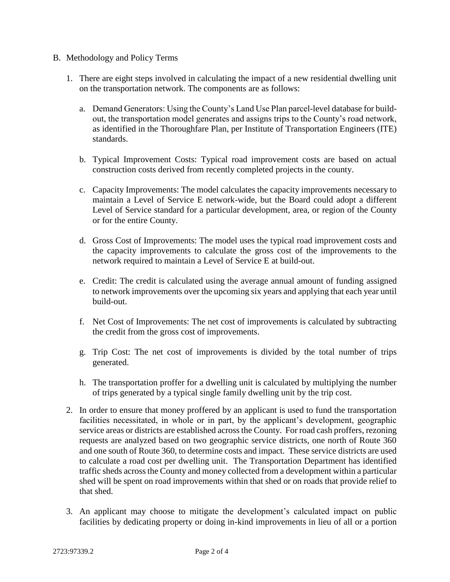- B. Methodology and Policy Terms
	- 1. There are eight steps involved in calculating the impact of a new residential dwelling unit on the transportation network. The components are as follows:
		- a. Demand Generators: Using the County's Land Use Plan parcel-level database for buildout, the transportation model generates and assigns trips to the County's road network, as identified in the Thoroughfare Plan, per Institute of Transportation Engineers (ITE) standards.
		- b. Typical Improvement Costs: Typical road improvement costs are based on actual construction costs derived from recently completed projects in the county.
		- c. Capacity Improvements: The model calculates the capacity improvements necessary to maintain a Level of Service E network-wide, but the Board could adopt a different Level of Service standard for a particular development, area, or region of the County or for the entire County.
		- d. Gross Cost of Improvements: The model uses the typical road improvement costs and the capacity improvements to calculate the gross cost of the improvements to the network required to maintain a Level of Service E at build-out.
		- e. Credit: The credit is calculated using the average annual amount of funding assigned to network improvements over the upcoming six years and applying that each year until build-out.
		- f. Net Cost of Improvements: The net cost of improvements is calculated by subtracting the credit from the gross cost of improvements.
		- g. Trip Cost: The net cost of improvements is divided by the total number of trips generated.
		- h. The transportation proffer for a dwelling unit is calculated by multiplying the number of trips generated by a typical single family dwelling unit by the trip cost.
	- 2. In order to ensure that money proffered by an applicant is used to fund the transportation facilities necessitated, in whole or in part, by the applicant's development, geographic service areas or districts are established across the County. For road cash proffers, rezoning requests are analyzed based on two geographic service districts, one north of Route 360 and one south of Route 360, to determine costs and impact. These service districts are used to calculate a road cost per dwelling unit. The Transportation Department has identified traffic sheds across the County and money collected from a development within a particular shed will be spent on road improvements within that shed or on roads that provide relief to that shed.
	- 3. An applicant may choose to mitigate the development's calculated impact on public facilities by dedicating property or doing in-kind improvements in lieu of all or a portion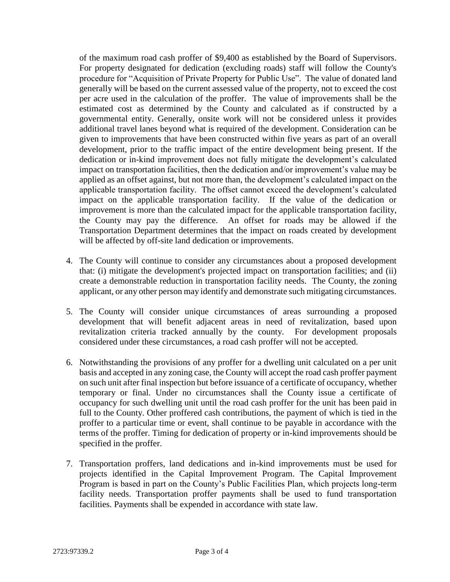of the maximum road cash proffer of \$9,400 as established by the Board of Supervisors. For property designated for dedication (excluding roads) staff will follow the County's procedure for "Acquisition of Private Property for Public Use". The value of donated land generally will be based on the current assessed value of the property, not to exceed the cost per acre used in the calculation of the proffer. The value of improvements shall be the estimated cost as determined by the County and calculated as if constructed by a governmental entity. Generally, onsite work will not be considered unless it provides additional travel lanes beyond what is required of the development. Consideration can be given to improvements that have been constructed within five years as part of an overall development, prior to the traffic impact of the entire development being present. If the dedication or in-kind improvement does not fully mitigate the development's calculated impact on transportation facilities, then the dedication and/or improvement's value may be applied as an offset against, but not more than, the development's calculated impact on the applicable transportation facility. The offset cannot exceed the development's calculated impact on the applicable transportation facility. If the value of the dedication or improvement is more than the calculated impact for the applicable transportation facility, the County may pay the difference. An offset for roads may be allowed if the Transportation Department determines that the impact on roads created by development will be affected by off-site land dedication or improvements.

- 4. The County will continue to consider any circumstances about a proposed development that: (i) mitigate the development's projected impact on transportation facilities; and (ii) create a demonstrable reduction in transportation facility needs. The County, the zoning applicant, or any other person may identify and demonstrate such mitigating circumstances.
- 5. The County will consider unique circumstances of areas surrounding a proposed development that will benefit adjacent areas in need of revitalization, based upon revitalization criteria tracked annually by the county. For development proposals considered under these circumstances, a road cash proffer will not be accepted.
- 6. Notwithstanding the provisions of any proffer for a dwelling unit calculated on a per unit basis and accepted in any zoning case, the County will accept the road cash proffer payment on such unit after final inspection but before issuance of a certificate of occupancy, whether temporary or final. Under no circumstances shall the County issue a certificate of occupancy for such dwelling unit until the road cash proffer for the unit has been paid in full to the County. Other proffered cash contributions, the payment of which is tied in the proffer to a particular time or event, shall continue to be payable in accordance with the terms of the proffer. Timing for dedication of property or in-kind improvements should be specified in the proffer.
- 7. Transportation proffers, land dedications and in-kind improvements must be used for projects identified in the Capital Improvement Program. The Capital Improvement Program is based in part on the County's Public Facilities Plan, which projects long-term facility needs. Transportation proffer payments shall be used to fund transportation facilities. Payments shall be expended in accordance with state law.